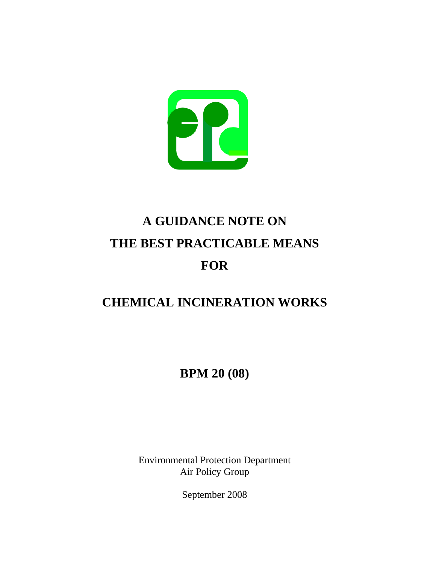

# **A GUIDANCE NOTE ON THE BEST PRACTICABLE MEANS FOR**

# **CHEMICAL INCINERATION WORKS**

**BPM 20 (08)** 

Environmental Protection Department Air Policy Group

September 2008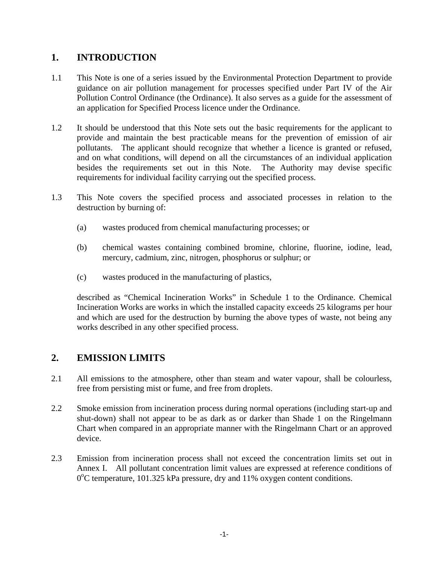# **1. INTRODUCTION**

- 1.1 This Note is one of a series issued by the Environmental Protection Department to provide guidance on air pollution management for processes specified under Part IV of the Air Pollution Control Ordinance (the Ordinance). It also serves as a guide for the assessment of an application for Specified Process licence under the Ordinance.
- 1.2 It should be understood that this Note sets out the basic requirements for the applicant to provide and maintain the best practicable means for the prevention of emission of air pollutants. The applicant should recognize that whether a licence is granted or refused, and on what conditions, will depend on all the circumstances of an individual application besides the requirements set out in this Note. The Authority may devise specific requirements for individual facility carrying out the specified process.
- 1.3 This Note covers the specified process and associated processes in relation to the destruction by burning of:
	- (a) wastes produced from chemical manufacturing processes; or
	- (b) chemical wastes containing combined bromine, chlorine, fluorine, iodine, lead, mercury, cadmium, zinc, nitrogen, phosphorus or sulphur; or
	- (c) wastes produced in the manufacturing of plastics,

described as "Chemical Incineration Works" in Schedule 1 to the Ordinance. Chemical Incineration Works are works in which the installed capacity exceeds 25 kilograms per hour and which are used for the destruction by burning the above types of waste, not being any works described in any other specified process.

## **2. EMISSION LIMITS**

- 2.1 All emissions to the atmosphere, other than steam and water vapour, shall be colourless, free from persisting mist or fume, and free from droplets.
- 2.2 Smoke emission from incineration process during normal operations (including start-up and shut-down) shall not appear to be as dark as or darker than Shade 1 on the Ringelmann Chart when compared in an appropriate manner with the Ringelmann Chart or an approved device.
- 2.3 Emission from incineration process shall not exceed the concentration limits set out in Annex I. All pollutant concentration limit values are expressed at reference conditions of 0°C temperature, 101.325 kPa pressure, dry and 11% oxygen content conditions.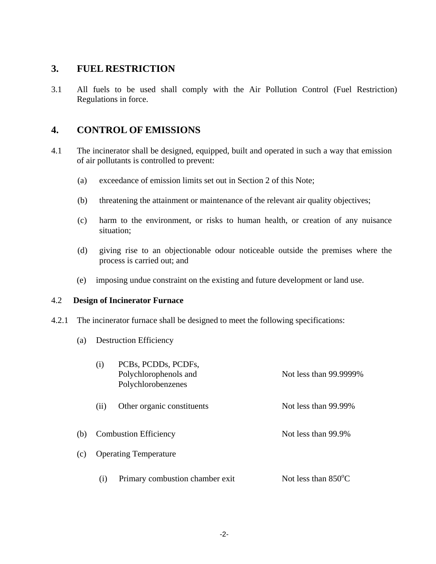#### **3. FUEL RESTRICTION**

3.1 All fuels to be used shall comply with the Air Pollution Control (Fuel Restriction) Regulations in force.

# **4. CONTROL OF EMISSIONS**

- 4.1 The incinerator shall be designed, equipped, built and operated in such a way that emission of air pollutants is controlled to prevent:
	- (a) exceedance of emission limits set out in Section 2 of this Note;
	- (b) threatening the attainment or maintenance of the relevant air quality objectives;
	- (c) harm to the environment, or risks to human health, or creation of any nuisance situation;
	- (d) giving rise to an objectionable odour noticeable outside the premises where the process is carried out; and
	- (e) imposing undue constraint on the existing and future development or land use.

#### 4.2 **Design of Incinerator Furnace**

- 4.2.1 The incinerator furnace shall be designed to meet the following specifications:
	- (a) Destruction Efficiency

|     | (i)                          | PCBs, PCDDs, PCDFs,<br>Polychlorophenols and<br>Polychlorobenzenes | Not less than 99.9999%        |
|-----|------------------------------|--------------------------------------------------------------------|-------------------------------|
|     | (i)                          | Other organic constituents                                         | Not less than 99.99%          |
| (b) | <b>Combustion Efficiency</b> |                                                                    | Not less than 99.9%           |
| (c) |                              | <b>Operating Temperature</b>                                       |                               |
|     | (i)                          | Primary combustion chamber exit                                    | Not less than $850^{\circ}$ C |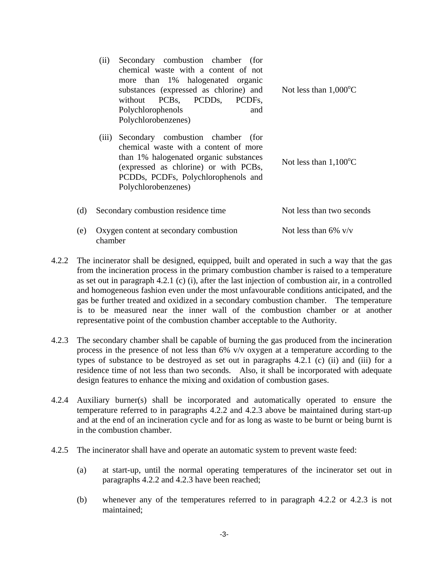| (ii) | Secondary combustion chamber (for<br>chemical waste with a content of not<br>more than 1% halogenated organic<br>substances (expressed as chlorine) and<br>without PCBs, PCDDs, PCDFs,<br>Polychlorophenols<br>and<br>Polychlorobenzenes) | Not less than $1,000^{\circ}$ C |
|------|-------------------------------------------------------------------------------------------------------------------------------------------------------------------------------------------------------------------------------------------|---------------------------------|
|      | (iii) Secondary combustion chamber (for<br>chemical waste with a content of more                                                                                                                                                          |                                 |

chemical waste with a content of more than 1% halogenated organic substances Not less than  $1,100^{\circ}$ C (expressed as chlorine) or with PCBs, PCDDs, PCDFs, Polychlorophenols and Polychlorobenzenes)

| (d) Secondary combustion residence time               | Not less than two seconds |
|-------------------------------------------------------|---------------------------|
| (e) Oxygen content at secondary combustion<br>chamber | Not less than 6% $v/v$    |

- 4.2.2 The incinerator shall be designed, equipped, built and operated in such a way that the gas from the incineration process in the primary combustion chamber is raised to a temperature as set out in paragraph 4.2.1 (c) (i), after the last injection of combustion air, in a controlled and homogeneous fashion even under the most unfavourable conditions anticipated, and the gas be further treated and oxidized in a secondary combustion chamber. The temperature is to be measured near the inner wall of the combustion chamber or at another representative point of the combustion chamber acceptable to the Authority.
- 4.2.3 The secondary chamber shall be capable of burning the gas produced from the incineration process in the presence of not less than 6% v/v oxygen at a temperature according to the types of substance to be destroyed as set out in paragraphs 4.2.1 (c) (ii) and (iii) for a residence time of not less than two seconds. Also, it shall be incorporated with adequate design features to enhance the mixing and oxidation of combustion gases.
- 4.2.4 Auxiliary burner(s) shall be incorporated and automatically operated to ensure the temperature referred to in paragraphs 4.2.2 and 4.2.3 above be maintained during start-up and at the end of an incineration cycle and for as long as waste to be burnt or being burnt is in the combustion chamber.
- 4.2.5 The incinerator shall have and operate an automatic system to prevent waste feed:
	- (a) at start-up, until the normal operating temperatures of the incinerator set out in paragraphs 4.2.2 and 4.2.3 have been reached;
	- (b) whenever any of the temperatures referred to in paragraph 4.2.2 or 4.2.3 is not maintained;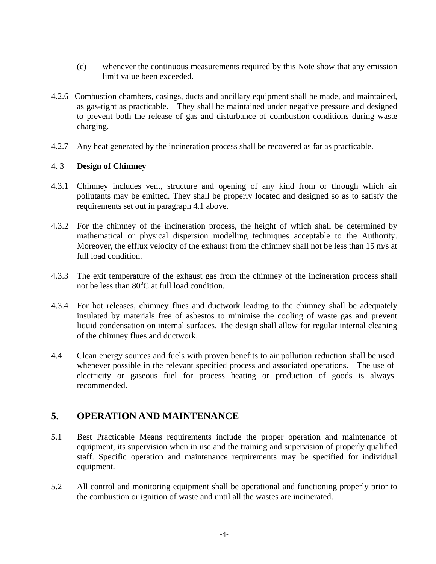- (c) whenever the continuous measurements required by this Note show that any emission limit value been exceeded.
- 4.2.6 Combustion chambers, casings, ducts and ancillary equipment shall be made, and maintained, as gas-tight as practicable. They shall be maintained under negative pressure and designed to prevent both the release of gas and disturbance of combustion conditions during waste charging.
- 4.2.7 Any heat generated by the incineration process shall be recovered as far as practicable.

#### 4. 3 **Design of Chimney**

- 4.3.1 Chimney includes vent, structure and opening of any kind from or through which air pollutants may be emitted. They shall be properly located and designed so as to satisfy the requirements set out in paragraph 4.1 above.
- 4.3.2 For the chimney of the incineration process, the height of which shall be determined by mathematical or physical dispersion modelling techniques acceptable to the Authority. Moreover, the efflux velocity of the exhaust from the chimney shall not be less than 15 m/s at full load condition.
- 4.3.3 The exit temperature of the exhaust gas from the chimney of the incineration process shall not be less than  $80^{\circ}$ C at full load condition.
- 4.3.4 For hot releases, chimney flues and ductwork leading to the chimney shall be adequately insulated by materials free of asbestos to minimise the cooling of waste gas and prevent liquid condensation on internal surfaces. The design shall allow for regular internal cleaning of the chimney flues and ductwork.
- 4.4 Clean energy sources and fuels with proven benefits to air pollution reduction shall be used whenever possible in the relevant specified process and associated operations. The use of electricity or gaseous fuel for process heating or production of goods is always recommended.

# **5. OPERATION AND MAINTENANCE**

- 5.1 Best Practicable Means requirements include the proper operation and maintenance of equipment, its supervision when in use and the training and supervision of properly qualified staff. Specific operation and maintenance requirements may be specified for individual equipment.
- 5.2 All control and monitoring equipment shall be operational and functioning properly prior to the combustion or ignition of waste and until all the wastes are incinerated.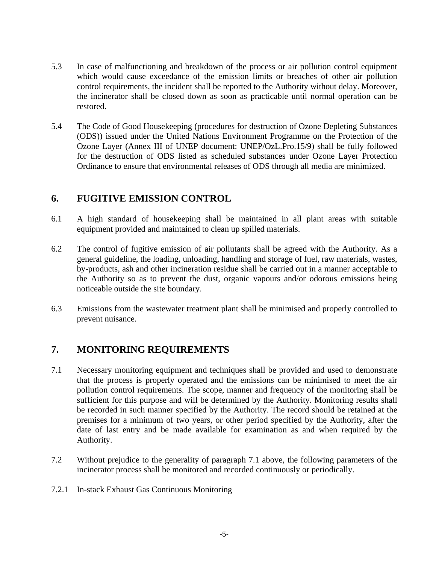- 5.3 In case of malfunctioning and breakdown of the process or air pollution control equipment which would cause exceedance of the emission limits or breaches of other air pollution control requirements, the incident shall be reported to the Authority without delay. Moreover, the incinerator shall be closed down as soon as practicable until normal operation can be restored.
- 5.4 The Code of Good Housekeeping (procedures for destruction of Ozone Depleting Substances (ODS)) issued under the United Nations Environment Programme on the Protection of the Ozone Layer (Annex III of UNEP document: UNEP/OzL.Pro.15/9) shall be fully followed for the destruction of ODS listed as scheduled substances under Ozone Layer Protection Ordinance to ensure that environmental releases of ODS through all media are minimized.

## **6. FUGITIVE EMISSION CONTROL**

- 6.1 A high standard of housekeeping shall be maintained in all plant areas with suitable equipment provided and maintained to clean up spilled materials.
- 6.2 The control of fugitive emission of air pollutants shall be agreed with the Authority. As a general guideline, the loading, unloading, handling and storage of fuel, raw materials, wastes, by-products, ash and other incineration residue shall be carried out in a manner acceptable to the Authority so as to prevent the dust, organic vapours and/or odorous emissions being noticeable outside the site boundary.
- 6.3 Emissions from the wastewater treatment plant shall be minimised and properly controlled to prevent nuisance.

# **7. MONITORING REQUIREMENTS**

- 7.1 Necessary monitoring equipment and techniques shall be provided and used to demonstrate that the process is properly operated and the emissions can be minimised to meet the air pollution control requirements. The scope, manner and frequency of the monitoring shall be sufficient for this purpose and will be determined by the Authority. Monitoring results shall be recorded in such manner specified by the Authority. The record should be retained at the premises for a minimum of two years, or other period specified by the Authority, after the date of last entry and be made available for examination as and when required by the Authority.
- 7.2 Without prejudice to the generality of paragraph 7.1 above, the following parameters of the incinerator process shall be monitored and recorded continuously or periodically.
- 7.2.1 In-stack Exhaust Gas Continuous Monitoring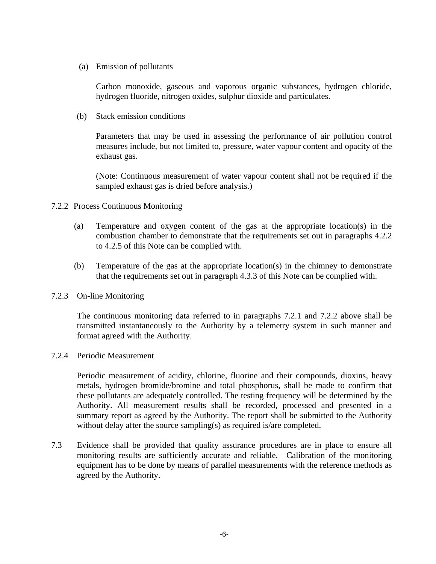(a) Emission of pollutants

Carbon monoxide, gaseous and vaporous organic substances, hydrogen chloride, hydrogen fluoride, nitrogen oxides, sulphur dioxide and particulates.

(b) Stack emission conditions

Parameters that may be used in assessing the performance of air pollution control measures include, but not limited to, pressure, water vapour content and opacity of the exhaust gas.

(Note: Continuous measurement of water vapour content shall not be required if the sampled exhaust gas is dried before analysis.)

- 7.2.2 Process Continuous Monitoring
	- (a) Temperature and oxygen content of the gas at the appropriate location(s) in the combustion chamber to demonstrate that the requirements set out in paragraphs 4.2.2 to 4.2.5 of this Note can be complied with.
	- (b) Temperature of the gas at the appropriate location(s) in the chimney to demonstrate that the requirements set out in paragraph 4.3.3 of this Note can be complied with.
- 7.2.3 On-line Monitoring

The continuous monitoring data referred to in paragraphs 7.2.1 and 7.2.2 above shall be transmitted instantaneously to the Authority by a telemetry system in such manner and format agreed with the Authority.

7.2.4 Periodic Measurement

Periodic measurement of acidity, chlorine, fluorine and their compounds, dioxins, heavy metals, hydrogen bromide/bromine and total phosphorus, shall be made to confirm that these pollutants are adequately controlled. The testing frequency will be determined by the Authority. All measurement results shall be recorded, processed and presented in a summary report as agreed by the Authority. The report shall be submitted to the Authority without delay after the source sampling(s) as required is/are completed.

7.3 Evidence shall be provided that quality assurance procedures are in place to ensure all monitoring results are sufficiently accurate and reliable. Calibration of the monitoring equipment has to be done by means of parallel measurements with the reference methods as agreed by the Authority.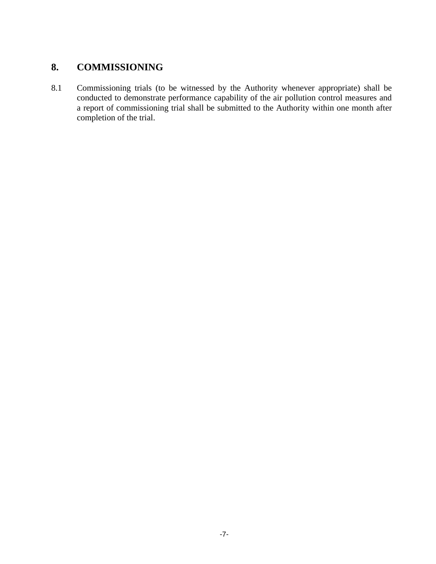# **8. COMMISSIONING**

8.1 Commissioning trials (to be witnessed by the Authority whenever appropriate) shall be conducted to demonstrate performance capability of the air pollution control measures and a report of commissioning trial shall be submitted to the Authority within one month after completion of the trial.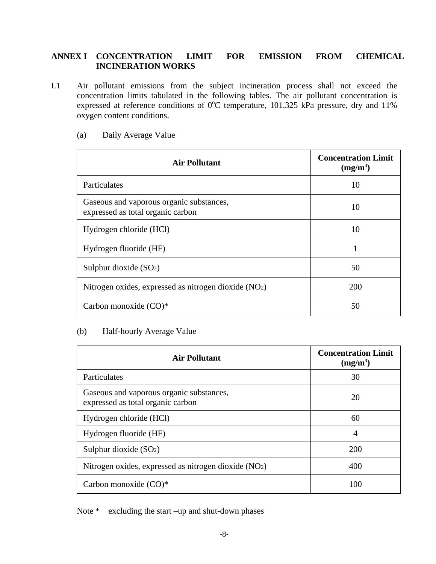#### **ANNEX I CONCENTRATION LIMIT FOR EMISSION FROM CHEMICAL INCINERATION WORKS**

I.1 Air pollutant emissions from the subject incineration process shall not exceed the concentration limits tabulated in the following tables. The air pollutant concentration is expressed at reference conditions of  $0^{\circ}$ C temperature, 101.325 kPa pressure, dry and 11% oxygen content conditions.

| <b>Air Pollutant</b>                                                          | <b>Concentration Limit</b><br>$(mg/m^3)$ |
|-------------------------------------------------------------------------------|------------------------------------------|
| Particulates                                                                  | 10                                       |
| Gaseous and vaporous organic substances,<br>expressed as total organic carbon | 10                                       |
| Hydrogen chloride (HCl)                                                       | 10                                       |
| Hydrogen fluoride (HF)                                                        | 1                                        |
| Sulphur dioxide $(SO2)$                                                       | 50                                       |
| Nitrogen oxides, expressed as nitrogen dioxide (NO2)                          | <b>200</b>                               |
| Carbon monoxide (CO)*                                                         | 50                                       |

#### (a) Daily Average Value

#### (b) Half-hourly Average Value

| <b>Air Pollutant</b>                                                          | <b>Concentration Limit</b><br>$(mg/m^3)$ |
|-------------------------------------------------------------------------------|------------------------------------------|
| Particulates                                                                  | 30                                       |
| Gaseous and vaporous organic substances,<br>expressed as total organic carbon | 20                                       |
| Hydrogen chloride (HCl)                                                       | 60                                       |
| Hydrogen fluoride (HF)                                                        | 4                                        |
| Sulphur dioxide $(SO2)$                                                       | 200                                      |
| Nitrogen oxides, expressed as nitrogen dioxide (NO2)                          | 400                                      |
| Carbon monoxide $(CO)^*$                                                      | 100                                      |

Note \* excluding the start –up and shut-down phases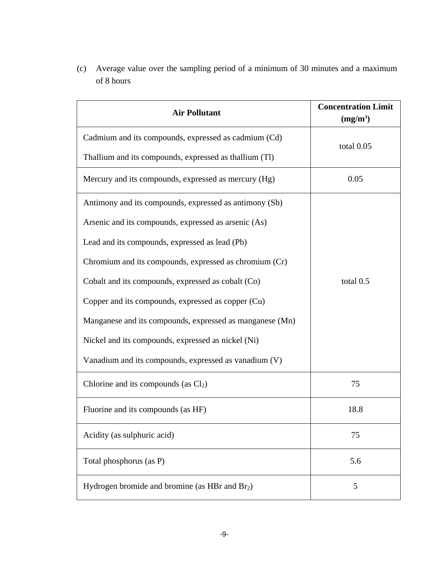(c) Average value over the sampling period of a minimum of 30 minutes and a maximum of 8 hours

| <b>Air Pollutant</b>                                     | <b>Concentration Limit</b><br>$(mg/m^3)$ |
|----------------------------------------------------------|------------------------------------------|
| Cadmium and its compounds, expressed as cadmium (Cd)     | total 0.05                               |
| Thallium and its compounds, expressed as thallium (Tl)   |                                          |
| Mercury and its compounds, expressed as mercury (Hg)     | 0.05                                     |
| Antimony and its compounds, expressed as antimony (Sb)   |                                          |
| Arsenic and its compounds, expressed as arsenic (As)     |                                          |
| Lead and its compounds, expressed as lead (Pb)           | total 0.5                                |
| Chromium and its compounds, expressed as chromium (Cr)   |                                          |
| Cobalt and its compounds, expressed as cobalt (Co)       |                                          |
| Copper and its compounds, expressed as copper (Cu)       |                                          |
| Manganese and its compounds, expressed as manganese (Mn) |                                          |
| Nickel and its compounds, expressed as nickel (Ni)       |                                          |
| Vanadium and its compounds, expressed as vanadium (V)    |                                          |
| Chlorine and its compounds (as $Cl2$ )                   | 75                                       |
| Fluorine and its compounds (as HF)                       | 18.8                                     |
| Acidity (as sulphuric acid)                              | 75                                       |
| Total phosphorus (as P)                                  | 5.6                                      |
| Hydrogen bromide and bromine (as HBr and $Br2$ )         | 5                                        |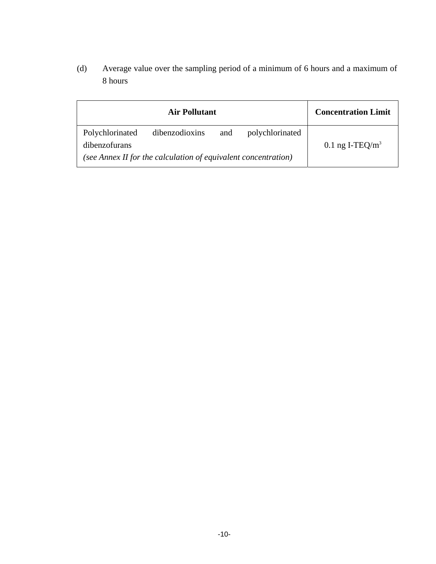(d) Average value over the sampling period of a minimum of 6 hours and a maximum of 8 hours

|                                                                | <b>Air Pollutant</b> |     |                 | <b>Concentration Limit</b> |
|----------------------------------------------------------------|----------------------|-----|-----------------|----------------------------|
| Polychlorinated<br>dibenzofurans                               | dibenzodioxins       | and | polychlorinated | 0.1 ng I-TEQ/ $m3$         |
| (see Annex II for the calculation of equivalent concentration) |                      |     |                 |                            |